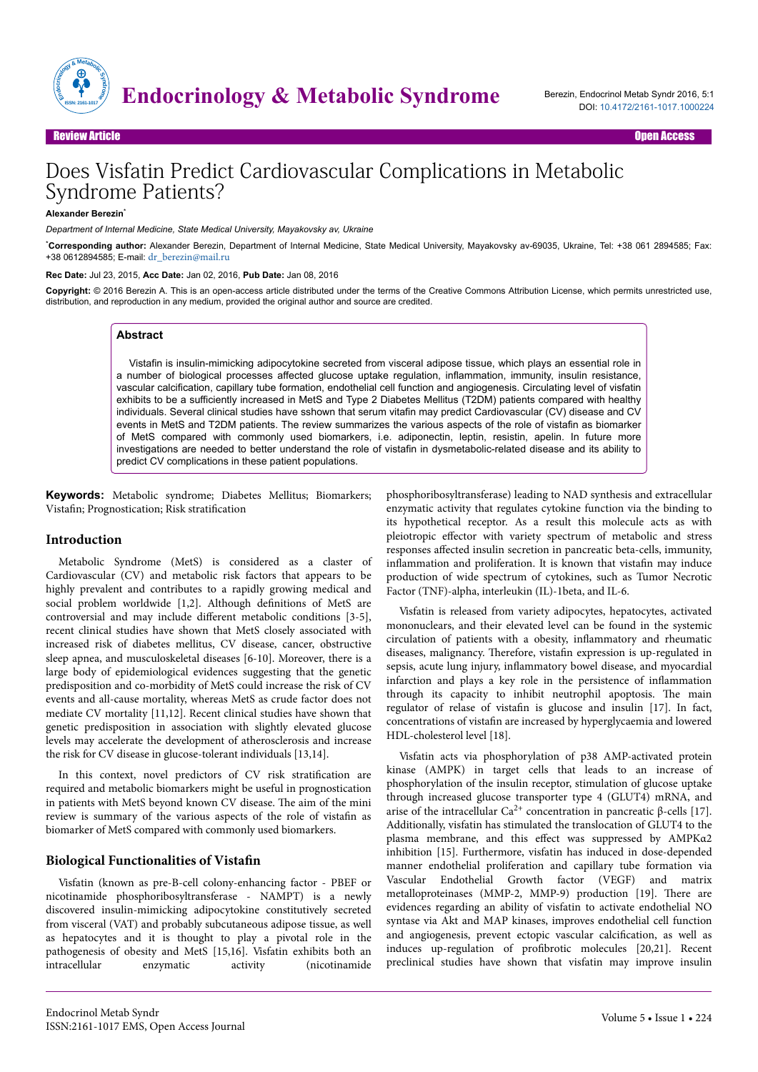

# Does Visfatin Predict Cardiovascular Complications in Metabolic Syndrome Patients?

**Alexander Berezin**\*

*Department of Internal Medicine, State Medical University, Mayakovsky av, Ukraine*

\***Corresponding author:** Alexander Berezin, Department of Internal Medicine, State Medical University, Mayakovsky av-69035, Ukraine, Tel: +38 061 2894585; Fax: +38 0612894585; E-mail: [dr\\_berezin@mail.ru](mailto:dr_berezin@mail.ru)

#### **Rec Date:** Jul 23, 2015, **Acc Date:** Jan 02, 2016, **Pub Date:** Jan 08, 2016

**Copyright:** © 2016 Berezin A. This is an open-access article distributed under the terms of the Creative Commons Attribution License, which permits unrestricted use, distribution, and reproduction in any medium, provided the original author and source are credited.

#### **Abstract**

Vistafin is insulin-mimicking adipocytokine secreted from visceral adipose tissue, which plays an essential role in a number of biological processes affected glucose uptake regulation, inflammation, immunity, insulin resistance, vascular calcification, capillary tube formation, endothelial cell function and angiogenesis. Circulating level of visfatin exhibits to be a sufficiently increased in MetS and Type 2 Diabetes Mellitus (T2DM) patients compared with healthy individuals. Several clinical studies have sshown that serum vitafin may predict Cardiovascular (CV) disease and CV events in MetS and T2DM patients. The review summarizes the various aspects of the role of vistafin as biomarker of MetS compared with commonly used biomarkers, i.e. adiponectin, leptin, resistin, apelin. In future more investigations are needed to better understand the role of vistafin in dysmetabolic-related disease and its ability to predict CV complications in these patient populations.

**Keywords:** Metabolic syndrome; Diabetes Mellitus; Biomarkers; Vistafin; Prognostication; Risk stratification

#### **Introduction**

Metabolic Syndrome (MetS) is considered as a claster of Cardiovascular (CV) and metabolic risk factors that appears to be highly prevalent and contributes to a rapidly growing medical and social problem worldwide  $[1,2]$ . Although definitions of MetS are controversial and may include different metabolic conditions [3-5], recent clinical studies have shown that MetS closely associated with increased risk of diabetes mellitus, CV disease, cancer, obstructive sleep apnea, and musculoskeletal diseases [6-10]. Moreover, there is a large body of epidemiological evidences suggesting that the genetic predisposition and co-morbidity of MetS could increase the risk of CV events and all-cause mortality, whereas MetS as crude factor does not mediate CV mortality [11,12]. Recent clinical studies have shown that genetic predisposition in association with slightly elevated glucose levels may accelerate the development of atherosclerosis and increase the risk for CV disease in glucose-tolerant individuals [13,14].

In this context, novel predictors of CV risk stratification are required and metabolic biomarkers might be useful in prognostication in patients with MetS beyond known CV disease. Нe aim of the mini review is summary of the various aspects of the role of vistafin as biomarker of MetS compared with commonly used biomarkers.

#### **Biological Functionalities of Vistafin**

Visfatin (known as pre-B-cell colony-enhancing factor - PBEF or nicotinamide phosphoribosyltransferase - NAMPT) is a newly discovered insulin-mimicking adipocytokine constitutively secreted from visceral (VAT) and probably subcutaneous adipose tissue, as well as hepatocytes and it is thought to play a pivotal role in the pathogenesis of obesity and MetS [15,16]. Visfatin exhibits both an intracellular enzymatic activity (nicotinamide phosphoribosyltransferase) leading to NAD synthesis and extracellular enzymatic activity that regulates cytokine function via the binding to its hypothetical receptor. As a result this molecule acts as with pleiotropic effector with variety spectrum of metabolic and stress responses affected insulin secretion in pancreatic beta-cells, immunity, inflammation and proliferation. It is known that vistafin may induce production of wide spectrum of cytokines, such as Tumor Necrotic Factor (TNF)-alpha, interleukin (IL)-1beta, and IL-6.

Visfatin is released from variety adipocytes, hepatocytes, activated mononuclears, and their elevated level can be found in the systemic circulation of patients with a obesity, inflammatory and rheumatic diseases, malignancy. Therefore, vistafin expression is up-regulated in sepsis, acute lung injury, inflammatory bowel disease, and myocardial infarction and plays a key role in the persistence of inflammation through its capacity to inhibit neutrophil apoptosis. Нe main regulator of relase of vistafin is glucose and insulin [17]. In fact, concentrations of vistafin are increased by hyperglycaemia and lowered HDL-cholesterol level [18].

Visfatin acts via phosphorylation of p38 AMP-activated protein kinase (AMPK) in target cells that leads to an increase of phosphorylation of the insulin receptor, stimulation of glucose uptake through increased glucose transporter type 4 (GLUT4) mRNA, and arise of the intracellular  $Ca<sup>2+</sup>$  concentration in pancreatic β-cells [17]. Additionally, visfatin has stimulated the translocation of GLUT4 to the plasma membrane, and this effect was suppressed by ΑΜΡΚα2 inhibition [15]. Furthermore, visfatin has induced in dose-depended manner endothelial proliferation and capillary tube formation via Vascular Endothelial Growth factor (VEGF) and matrix metalloproteinases (MMP-2, MMP-9) production [19]. Нere are evidences regarding an ability of visfatin to activate endothelial NO syntase via Akt and MAP kinases, improves endothelial cell function and angiogenesis, prevent ectopic vascular calcification, as well as induces up-regulation of profibrotic molecules [20,21]. Recent preclinical studies have shown that visfatin may improve insulin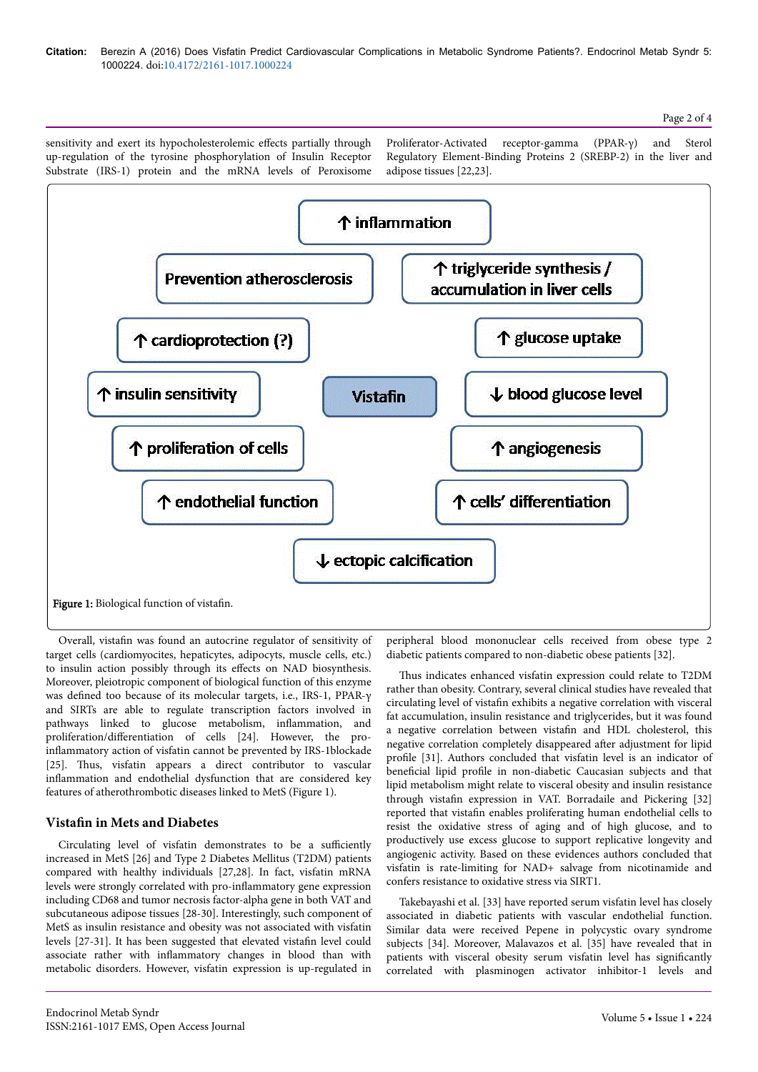sensitivity and exert its hypocholesterolemic effects partially through up-regulation of the tyrosine phosphorylation of Insulin Receptor Substrate (IRS-1) protein and the mRNA levels of Peroxisome Proliferator-Activated receptor-gamma (PPAR-γ) and Sterol Regulatory Element-Binding Proteins 2 (SREBP-2) in the liver and adipose tissues [22,23].



Overall, vistafin was found an autocrine regulator of sensitivity of target cells (cardiomyocites, hepaticytes, adipocyts, muscle cells, etc.) to insulin action possibly through its effects on NAD biosynthesis. Moreover, pleiotropic component of biological function of this enzyme was defined too because of its molecular targets, i.e., IRS-1, PPAR-γ and SIRTs are able to regulate transcription factors involved in pathways linked to glucose metabolism, inflammation, and proliferation/differentiation of cells [24]. However, the proinflammatory action of visfatin cannot be prevented by IRS-1blockade [25]. Thus, visfatin appears a direct contributor to vascular inflammation and endothelial dysfunction that are considered key features of atherothrombotic diseases linked to MetS (Figure 1).

# **Vistafin in Mets and Diabetes**

Circulating level of visfatin demonstrates to be a sufficiently increased in MetS [26] and Type 2 Diabetes Mellitus (T2DM) patients compared with healthy individuals [27,28]. In fact, visfatin mRNA levels were strongly correlated with pro-inflammatory gene expression including CD68 and tumor necrosis factor-alpha gene in both VAT and subcutaneous adipose tissues [28-30]. Interestingly, such component of MetS as insulin resistance and obesity was not associated with visfatin levels [27-31]. It has been suggested that elevated vistafin level could associate rather with inflammatory changes in blood than with metabolic disorders. However, visfatin expression is up-regulated in

peripheral blood mononuclear cells received from obese type 2 diabetic patients compared to non-diabetic obese patients [32].

Thus indicates enhanced visfatin expression could relate to T2DM rather than obesity. Contrary, several clinical studies have revealed that circulating level of vistafin exhibits a negative correlation with visceral fat accumulation, insulin resistance and triglycerides, but it was found a negative correlation between vistafin and HDL cholesterol, this negative correlation completely disappeared after adjustment for lipid profile [31]. Authors concluded that visfatin level is an indicator of beneficial lipid profile in non-diabetic Caucasian subjects and that lipid metabolism might relate to visceral obesity and insulin resistance through vistafin expression in VAT. Borradaile and Pickering [32] reported that vistafin enables proliferating human endothelial cells to resist the oxidative stress of aging and of high glucose, and to productively use excess glucose to support replicative longevity and angiogenic activity. Based on these evidences authors concluded that visfatin is rate-limiting for NAD+ salvage from nicotinamide and confers resistance to oxidative stress via SIRT1.

Takebayashi et al. [33] have reported serum visfatin level has closely associated in diabetic patients with vascular endothelial function. Similar data were received Pepene in polycystic ovary syndrome subjects [34]. Moreover, Malavazos et al. [35] have revealed that in patients with visceral obesity serum visfatin level has significantly correlated with plasminogen activator inhibitor-1 levels and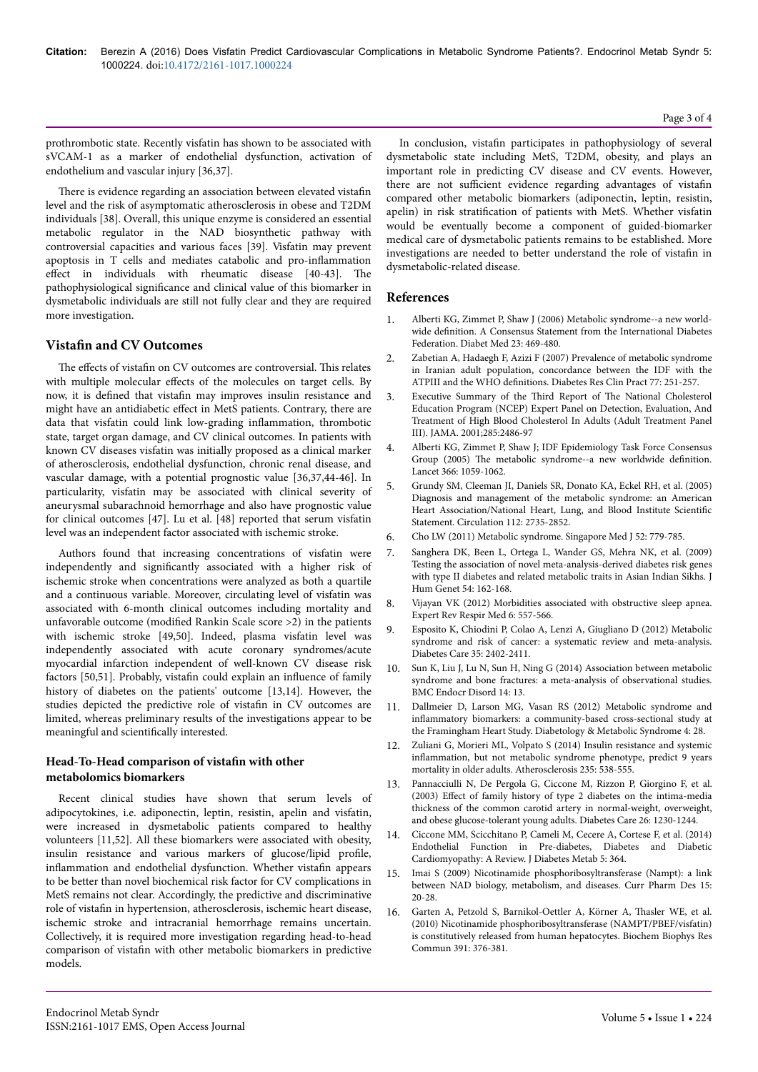prothrombotic state. Recently visfatin has shown to be associated with sVCAM-1 as a marker of endothelial dysfunction, activation of endothelium and vascular injury [36,37].

There is evidence regarding an association between elevated vistafin level and the risk of asymptomatic atherosclerosis in obese and T2DM individuals [38]. Overall, this unique enzyme is considered an essential metabolic regulator in the NAD biosynthetic pathway with controversial capacities and various faces [39]. Visfatin may prevent apoptosis in T cells and mediates catabolic and pro-inflammation effect in individuals with rheumatic disease [40-43]. The pathophysiological significance and clinical value of this biomarker in dysmetabolic individuals are still not fully clear and they are required more investigation.

## **Vistafin and CV Outcomes**

The effects of vistafin on CV outcomes are controversial. This relates with multiple molecular effects of the molecules on target cells. By now, it is defined that vistafin may improves insulin resistance and might have an antidiabetic effect in MetS patients. Contrary, there are data that visfatin could link low-grading inflammation, thrombotic state, target organ damage, and CV clinical outcomes. In patients with known CV diseases visfatin was initially proposed as a clinical marker of atherosclerosis, endothelial dysfunction, chronic renal disease, and vascular damage, with a potential prognostic value [36,37,44-46]. In particularity, visfatin may be associated with clinical severity of aneurysmal subarachnoid hemorrhage and also have prognostic value for clinical outcomes [47]. Lu et al. [48] reported that serum visfatin level was an independent factor associated with ischemic stroke.

Authors found that increasing concentrations of visfatin were independently and significantly associated with a higher risk of ischemic stroke when concentrations were analyzed as both a quartile and a continuous variable. Moreover, circulating level of visfatin was associated with 6-month clinical outcomes including mortality and unfavorable outcome (modified Rankin Scale score  $>2$ ) in the patients with ischemic stroke [49,50]. Indeed, plasma visfatin level was independently associated with acute coronary syndromes/acute myocardial infarction independent of well-known CV disease risk factors [50,51]. Probably, vistafin could explain an influence of family history of diabetes on the patients' outcome [13,14]. However, the studies depicted the predictive role of vistafin in CV outcomes are limited, whereas preliminary results of the investigations appear to be meaningful and scientifically interested.

## Head-To-Head comparison of vistafin with other **metabolomics biomarkers**

Recent clinical studies have shown that serum levels of adipocytokines, i.e. adiponectin, leptin, resistin, apelin and visfatin, were increased in dysmetabolic patients compared to healthy volunteers [11,52]. All these biomarkers were associated with obesity, insulin resistance and various markers of glucose/lipid profile, inflammation and endothelial dysfunction. Whether vistafin appears to be better than novel biochemical risk factor for CV complications in MetS remains not clear. Accordingly, the predictive and discriminative role of vistafin in hypertension, atherosclerosis, ischemic heart disease, ischemic stroke and intracranial hemorrhage remains uncertain. Collectively, it is required more investigation regarding head-to-head comparison of vistafin with other metabolic biomarkers in predictive models.

In conclusion, vistafin participates in pathophysiology of several dysmetabolic state including MetS, T2DM, obesity, and plays an important role in predicting CV disease and CV events. However, there are not sufficient evidence regarding advantages of vistafin compared other metabolic biomarkers (adiponectin, leptin, resistin, apelin) in risk stratification of patients with MetS. Whether visfatin would be eventually become a component of guided-biomarker medical care of dysmetabolic patients remains to be established. More investigations are needed to better understand the role of vistafin in dysmetabolic-related disease.

#### **References**

- 1. [Alberti KG, Zimmet P, Shaw J \(2006\) Metabolic syndrome--a new world-](http://www.ncbi.nlm.nih.gov/pubmed/16681555)wide definition. [A Consensus Statement from the International Diabetes](http://www.ncbi.nlm.nih.gov/pubmed/16681555) [Federation. Diabet Med 23: 469-480.](http://www.ncbi.nlm.nih.gov/pubmed/16681555)
- 2. [Zabetian A, Hadaegh F, Azizi F \(2007\) Prevalence of metabolic syndrome](http://www.ncbi.nlm.nih.gov/pubmed/17234299) [in Iranian adult population, concordance between the IDF with the](http://www.ncbi.nlm.nih.gov/pubmed/17234299) ATPIII and the WHO definitions. [Diabetes Res Clin Pract 77: 251-257.](http://www.ncbi.nlm.nih.gov/pubmed/17234299)
- 3. [Executive Summary of the](http://www.ncbi.nlm.nih.gov/pubmed/11368702) Third Report of The National Cholesterol [Education Program \(NCEP\) Expert Panel on Detection, Evaluation, And](http://www.ncbi.nlm.nih.gov/pubmed/11368702) [Treatment of High Blood Cholesterol In Adults \(Adult Treatment Panel](http://www.ncbi.nlm.nih.gov/pubmed/11368702) [III\). JAMA. 2001;285:2486-97](http://www.ncbi.nlm.nih.gov/pubmed/11368702)
- 4. [Alberti KG, Zimmet P, Shaw J; IDF Epidemiology Task Force Consensus](http://www.ncbi.nlm.nih.gov/pubmed/16182882) Group (2005) The [metabolic syndrome--a new worldwide](http://www.ncbi.nlm.nih.gov/pubmed/16182882) definition. [Lancet 366: 1059-1062.](http://www.ncbi.nlm.nih.gov/pubmed/16182882)
- 5. [Grundy SM, Cleeman JI, Daniels SR, Donato KA, Eckel RH, et al. \(2005\)](file:///D:/MANUSCRIPTS%20%20REC%20&%20PROOF%20(2016)/January%20Manuscripts/PROOFS/EMS%20Proofs/EMS-2250/circ.ahajournals.org/content/112/17/2735.full) [Diagnosis and management of the metabolic syndrome: an American](file:///D:/MANUSCRIPTS%20%20REC%20&%20PROOF%20(2016)/January%20Manuscripts/PROOFS/EMS%20Proofs/EMS-2250/circ.ahajournals.org/content/112/17/2735.full) [Heart Association/National Heart, Lung, and Blood Institute](file:///D:/MANUSCRIPTS%20%20REC%20&%20PROOF%20(2016)/January%20Manuscripts/PROOFS/EMS%20Proofs/EMS-2250/circ.ahajournals.org/content/112/17/2735.full) Scientific [Statement. Circulation 112: 2735-2852.](file:///D:/MANUSCRIPTS%20%20REC%20&%20PROOF%20(2016)/January%20Manuscripts/PROOFS/EMS%20Proofs/EMS-2250/circ.ahajournals.org/content/112/17/2735.full)
- 6. [Cho LW \(2011\) Metabolic syndrome. Singapore Med J 52: 779-785.](http://www.ncbi.nlm.nih.gov/pubmed/22173246)
- 7. [Sanghera DK, Been L, Ortega L, Wander GS, Mehra NK, et al. \(2009\)](http://www.ncbi.nlm.nih.gov/pubmed/19247373) [Testing the association of novel meta-analysis-derived diabetes risk genes](http://www.ncbi.nlm.nih.gov/pubmed/19247373) [with type II diabetes and related metabolic traits in Asian Indian Sikhs. J](http://www.ncbi.nlm.nih.gov/pubmed/19247373) [Hum Genet 54: 162-168.](http://www.ncbi.nlm.nih.gov/pubmed/19247373)
- [Vijayan VK \(2012\) Morbidities associated with obstructive sleep apnea.](http://www.ncbi.nlm.nih.gov/pubmed/23134249) [Expert Rev Respir Med 6: 557-566.](http://www.ncbi.nlm.nih.gov/pubmed/23134249)
- 9. [Esposito K, Chiodini P, Colao A, Lenzi A, Giugliano D \(2012\) Metabolic](http://www.ncbi.nlm.nih.gov/pubmed/23093685) [syndrome and risk of cancer: a systematic review and meta-analysis.](http://www.ncbi.nlm.nih.gov/pubmed/23093685) [Diabetes Care 35: 2402-2411.](http://www.ncbi.nlm.nih.gov/pubmed/23093685)
- [Sun K, Liu J, Lu N, Sun H, Ning G \(2014\) Association between metabolic](http://www.ncbi.nlm.nih.gov/pubmed/24506931) [syndrome and bone fractures: a meta-analysis of observational studies.](http://www.ncbi.nlm.nih.gov/pubmed/24506931) [BMC Endocr Disord 14: 13.](http://www.ncbi.nlm.nih.gov/pubmed/24506931)
- 11. [Dallmeier D, Larson MG, Vasan RS \(2012\) Metabolic syndrome and](http://www.ncbi.nlm.nih.gov/pubmed/22716219) inflammatory [biomarkers: a community-based cross-sectional study at](http://www.ncbi.nlm.nih.gov/pubmed/22716219) [the Framingham Heart Study. Diabetology & Metabolic Syndrome 4: 28.](http://www.ncbi.nlm.nih.gov/pubmed/22716219)
- 12. Zuliani G, Morieri ML, Volpato S (2014) Insulin resistance and systemic inflammation, but not metabolic syndrome phenotype, predict 9 years mortality in older adults. Atherosclerosis 235: 538-555.
- 13. Pannacciulli N, De Pergola G, Ciccone M, Rizzon P, Giorgino F, et al. (2003) Effect of family history of type 2 diabetes on the intima-media thickness of the common carotid artery in normal-weight, overweight, and obese glucose-tolerant young adults. Diabetes Care 26: 1230-1244.
- 14. [Ciccone MM, Scicchitano P, Cameli M, Cecere A, Cortese F, et al. \(2014\)](http://www.omicsonline.org/open-access/endothelial-function-in-prediabetes-diabetes-and-diabetic-cardiomyopathy-2155-6156.1000364.php?aid=25586) [Endothelial Function in Pre-diabetes, Diabetes and Diabetic](http://www.omicsonline.org/open-access/endothelial-function-in-prediabetes-diabetes-and-diabetic-cardiomyopathy-2155-6156.1000364.php?aid=25586) [Cardiomyopathy: A Review. J Diabetes Metab 5: 364.](http://www.omicsonline.org/open-access/endothelial-function-in-prediabetes-diabetes-and-diabetic-cardiomyopathy-2155-6156.1000364.php?aid=25586)
- 15. [Imai S \(2009\) Nicotinamide phosphoribosyltransferase \(Nampt\): a link](http://www.ncbi.nlm.nih.gov/pubmed/19149599) [between NAD biology, metabolism, and diseases. Curr Pharm Des 15:](http://www.ncbi.nlm.nih.gov/pubmed/19149599) [20-28.](http://www.ncbi.nlm.nih.gov/pubmed/19149599)
- 16. [Garten A, Petzold S, Barnikol-Oettler A, Körner A,](http://www.ncbi.nlm.nih.gov/pubmed/19912992) Нasler WE, et al. [\(2010\) Nicotinamide phosphoribosyltransferase \(NAMPT/PBEF/visfatin\)](http://www.ncbi.nlm.nih.gov/pubmed/19912992) [is constitutively released from human hepatocytes. Biochem Biophys Res](http://www.ncbi.nlm.nih.gov/pubmed/19912992) [Commun 391: 376-381.](http://www.ncbi.nlm.nih.gov/pubmed/19912992)